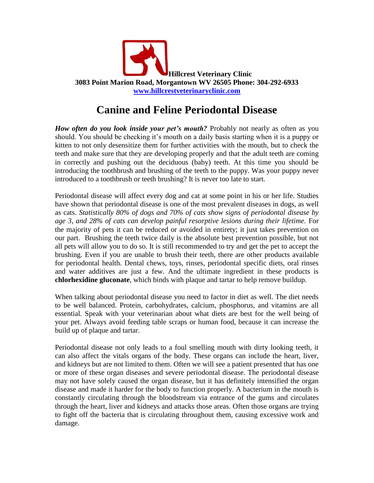

## **Canine and Feline Periodontal Disease**

*How often do you look inside your pet's mouth?* Probably not nearly as often as you should. You should be checking it's mouth on a daily basis starting when it is a puppy or kitten to not only desensitize them for further activities with the mouth, but to check the teeth and make sure that they are developing properly and that the adult teeth are coming in correctly and pushing out the deciduous (baby) teeth. At this time you should be introducing the toothbrush and brushing of the teeth to the puppy. Was your puppy never introduced to a toothbrush or teeth brushing? It is never too late to start.

Periodontal disease will affect every dog and cat at some point in his or her life. Studies have shown that periodontal disease is one of the most prevalent diseases in dogs, as well as cats. *Statistically 80% of dogs and 70% of cats show signs of periodontal disease by age 3, and 28% of cats can develop painful resorptive lesions during their lifetime.* For the majority of pets it can be reduced or avoided in entirety; it just takes prevention on our part. Brushing the teeth twice daily is the absolute best prevention possible, but not all pets will allow you to do so. It is still recommended to try and get the pet to accept the brushing. Even if you are unable to brush their teeth, there are other products available for periodontal health. Dental chews, toys, rinses, periodontal specific diets, oral rinses and water additives are just a few. And the ultimate ingredient in these products is **chlorhexidine gluconate**, which binds with plaque and tartar to help remove buildup.

When talking about periodontal disease you need to factor in diet as well. The diet needs to be well balanced. Protein, carbohydrates, calcium, phosphorus, and vitamins are all essential. Speak with your veterinarian about what diets are best for the well being of your pet. Always avoid feeding table scraps or human food, because it can increase the build up of plaque and tartar.

Periodontal disease not only leads to a foul smelling mouth with dirty looking teeth, it can also affect the vitals organs of the body. These organs can include the heart, liver, and kidneys but are not limited to them. Often we will see a patient presented that has one or more of these organ diseases and severe periodontal disease. The periodontal disease may not have solely caused the organ disease, but it has definitely intensified the organ disease and made it harder for the body to function properly. A bacterium in the mouth is constantly circulating through the bloodstream via entrance of the gums and circulates through the heart, liver and kidneys and attacks those areas. Often those organs are trying to fight off the bacteria that is circulating throughout them, causing excessive work and damage.